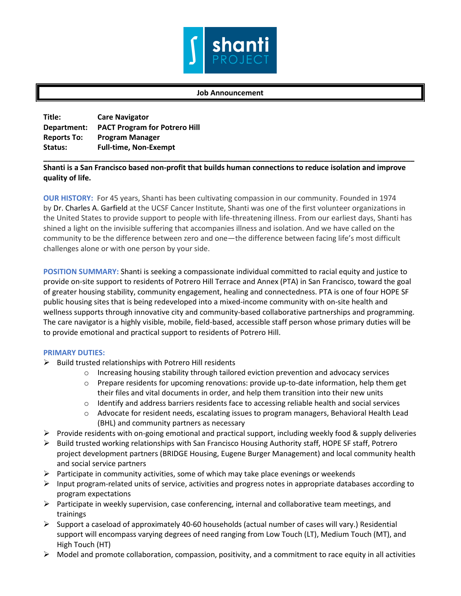

## **Job Announcement**

| Title:             | <b>Care Navigator</b>                     |
|--------------------|-------------------------------------------|
|                    | Department: PACT Program for Potrero Hill |
| <b>Reports To:</b> | <b>Program Manager</b>                    |
| Status:            | <b>Full-time, Non-Exempt</b>              |
|                    |                                           |

## **Shanti is a San Francisco based non-profit that builds human connections to reduce isolation and improve quality of life.**

**OUR HISTORY:** For 45 years, Shanti has been cultivating compassion in our community. Founded in 1974 by Dr. Charles A. Garfield at the UCSF Cancer Institute, Shanti was one of the first volunteer organizations in the United States to provide support to people with life-threatening illness. From our earliest days, Shanti has shined a light on the invisible suffering that accompanies illness and isolation. And we have called on the community to be the difference between zero and one—the difference between facing life's most difficult challenges alone or with one person by your side.

**POSITION SUMMARY:** Shanti is seeking a compassionate individual committed to racial equity and justice to provide on-site support to residents of Potrero Hill Terrace and Annex (PTA) in San Francisco, toward the goal of greater housing stability, community engagement, healing and connectedness. PTA is one of four HOPE SF public housing sites that is being redeveloped into a mixed-income community with on-site health and wellness supports through innovative city and community-based collaborative partnerships and programming. The care navigator is a highly visible, mobile, field-based, accessible staff person whose primary duties will be to provide emotional and practical support to residents of Potrero Hill.

## **PRIMARY DUTIES:**

- $\triangleright$  Build trusted relationships with Potrero Hill residents
	- o Increasing housing stability through tailored eviction prevention and advocacy services
	- $\circ$  Prepare residents for upcoming renovations: provide up-to-date information, help them get their files and vital documents in order, and help them transition into their new units
	- $\circ$  Identify and address barriers residents face to accessing reliable health and social services
	- o Advocate for resident needs, escalating issues to program managers, Behavioral Health Lead (BHL) and community partners as necessary
- $\triangleright$  Provide residents with on-going emotional and practical support, including weekly food & supply deliveries
- $\triangleright$  Build trusted working relationships with San Francisco Housing Authority staff, HOPE SF staff, Potrero project development partners (BRIDGE Housing, Eugene Burger Management) and local community health and social service partners
- $\triangleright$  Participate in community activities, some of which may take place evenings or weekends
- $\triangleright$  Input program-related units of service, activities and progress notes in appropriate databases according to program expectations
- $\triangleright$  Participate in weekly supervision, case conferencing, internal and collaborative team meetings, and trainings
- $\triangleright$  Support a caseload of approximately 40-60 households (actual number of cases will vary.) Residential support will encompass varying degrees of need ranging from Low Touch (LT), Medium Touch (MT), and High Touch (HT)
- $\triangleright$  Model and promote collaboration, compassion, positivity, and a commitment to race equity in all activities